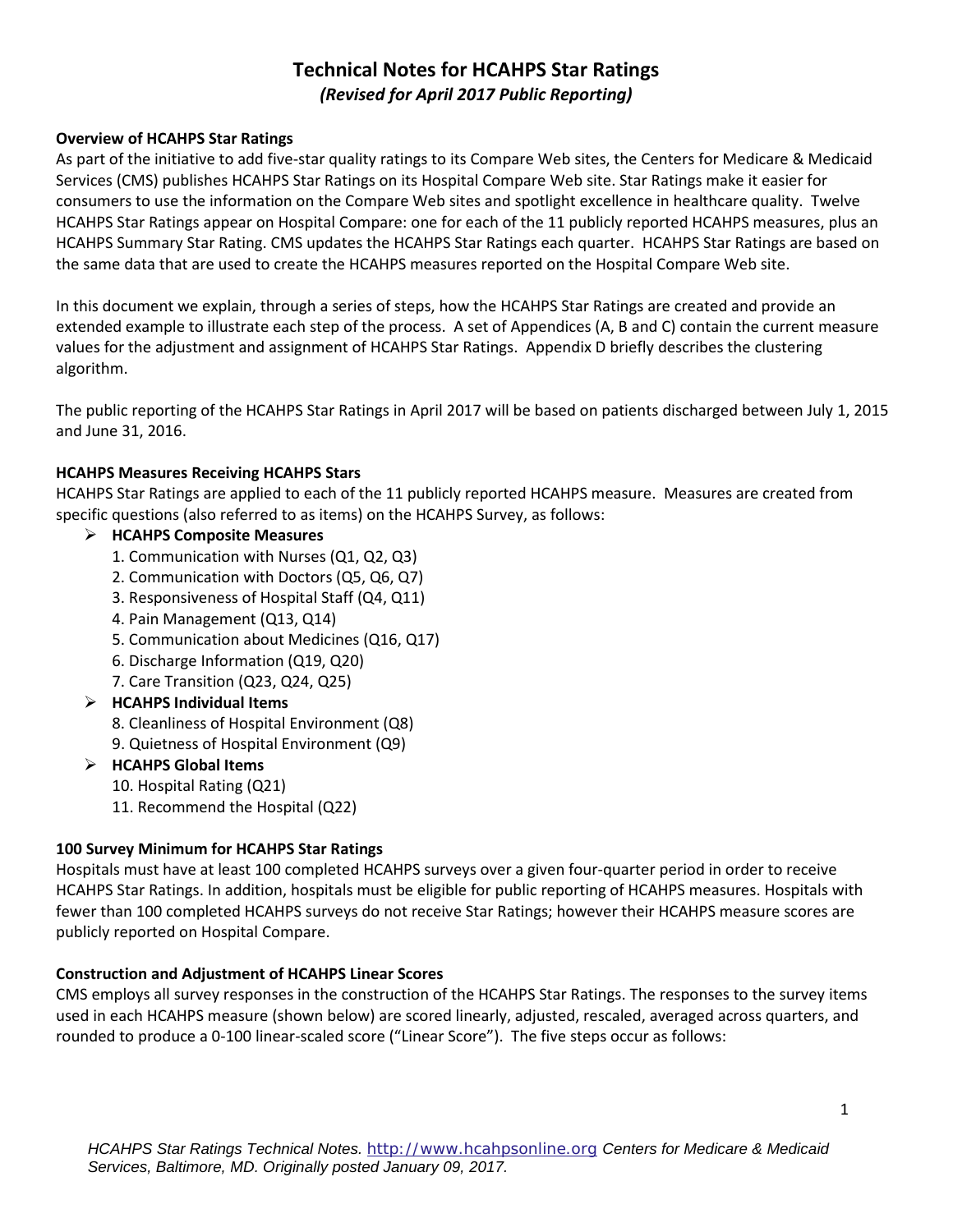# **Technical Notes for HCAHPS Star Ratings**  *(Revised for April 2017 Public Reporting)*

#### **Overview of HCAHPS Star Ratings**

 As part of the initiative to add five-star quality ratings to its Compare Web sites, the Centers for Medicare & Medicaid Services (CMS) publishes HCAHPS Star Ratings on its Hospital Compare Web site. Star Ratings make it easier for consumers to use the information on the Compare Web sites and spotlight excellence in healthcare quality. Twelve HCAHPS Star Ratings appear on Hospital Compare: one for each of the 11 publicly reported HCAHPS measures, plus an HCAHPS Summary Star Rating. CMS updates the HCAHPS Star Ratings each quarter. HCAHPS Star Ratings are based on the same data that are used to create the HCAHPS measures reported on the Hospital Compare Web site.

 values for the adjustment and assignment of HCAHPS Star Ratings. Appendix D briefly describes the clustering algorithm. In this document we explain, through a series of steps, how the HCAHPS Star Ratings are created and provide an extended example to illustrate each step of the process. A set of Appendices (A, B and C) contain the current measure

 The public reporting of the HCAHPS Star Ratings in April 2017 will be based on patients discharged between July 1, 2015 and June 31, 2016.

### **HCAHPS Measures Receiving HCAHPS Stars**

HCAHPS Star Ratings are applied to each of the 11 publicly reported HCAHPS measure. Measures are created from specific questions (also referred to as items) on the HCAHPS Survey, as follows:

### **HCAHPS Composite Measures**

- 1. Communication with Nurses (Q1, Q2, Q3)
- 2. Communication with Doctors (Q5, Q6, Q7)
- 3. Responsiveness of Hospital Staff (Q4, Q11)
- 4. Pain Management (Q13, Q14)
- 5. Communication about Medicines (Q16, Q17)
- 6. Discharge Information (Q19, Q20)
- 7. Care Transition (Q23, Q24, Q25)

### **HCAHPS Individual Items**

- 8. Cleanliness of Hospital Environment (Q8)
- 9. Quietness of Hospital Environment (Q9)

### **HCAHPS Global Items**

- 10. Hospital Rating (Q21)
- 11. Recommend the Hospital (Q22)

#### **100 Survey Minimum for HCAHPS Star Ratings**

 Hospitals must have at least 100 completed HCAHPS surveys over a given four-quarter period in order to receive HCAHPS Star Ratings. In addition, hospitals must be eligible for public reporting of HCAHPS measures. Hospitals with fewer than 100 completed HCAHPS surveys do not receive Star Ratings; however their HCAHPS measure scores are publicly reported on Hospital Compare.

#### **Construction and Adjustment of HCAHPS Linear Scores**

CMS employs all survey responses in the construction of the HCAHPS Star Ratings. The responses to the survey items used in each HCAHPS measure (shown below) are scored linearly, adjusted, rescaled, averaged across quarters, and rounded to produce a 0-100 linear-scaled score ("Linear Score"). The five steps occur as follows: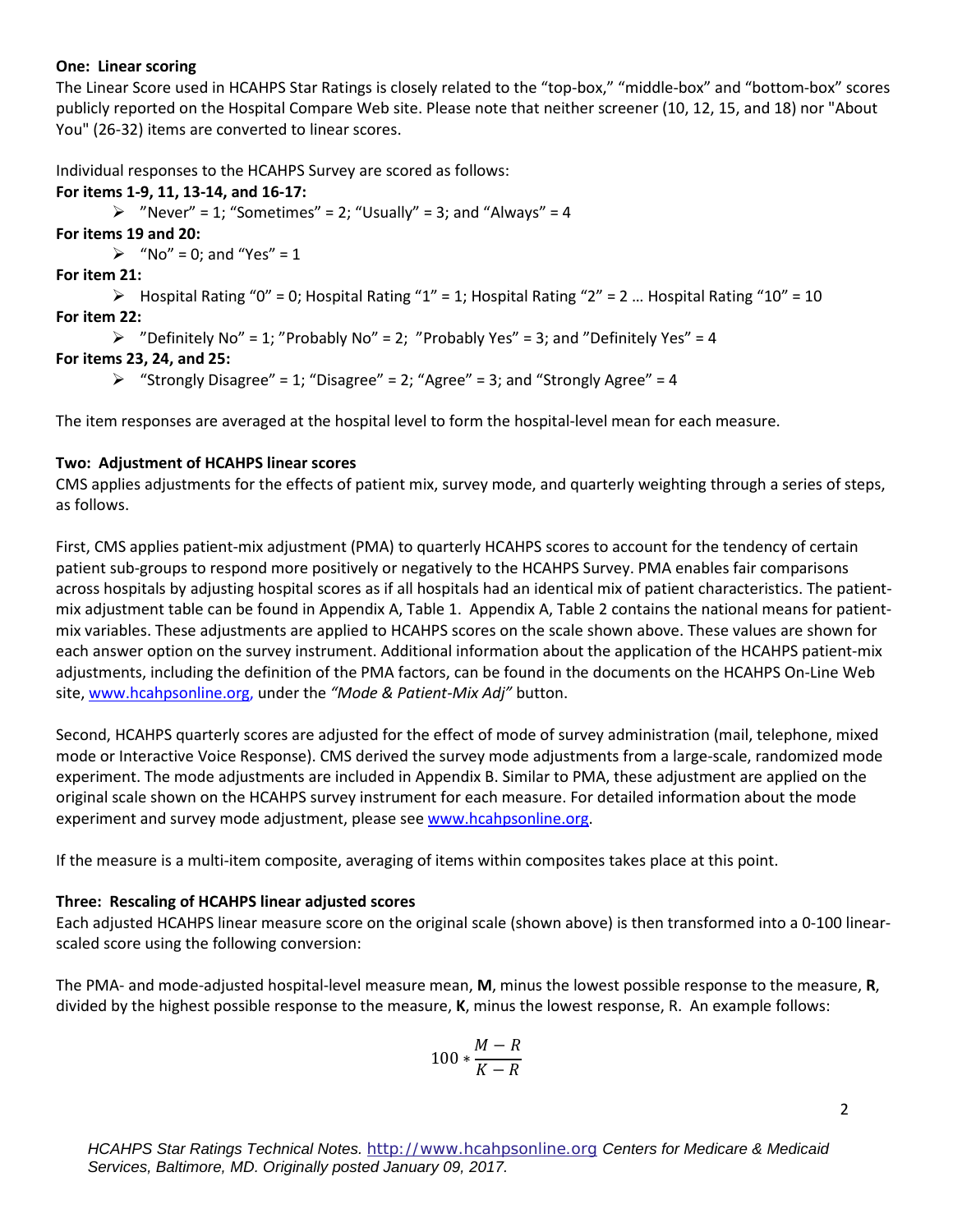#### **One: Linear scoring**

 The Linear Score used in HCAHPS Star Ratings is closely related to the "top-box," "middle-box" and "bottom-box" scores publicly reported on the Hospital Compare Web site. Please note that neither screener (10, 12, 15, and 18) nor "About You" (26-32) items are converted to linear scores.

Individual responses to the HCAHPS Survey are scored as follows:

#### **For items 1-9, 11, 13-14, and 16-17:**

 $\triangleright$  "Never" = 1; "Sometimes" = 2; "Usually" = 3; and "Always" = 4

**For items 19 and 20:** 

• "No" = 0; and "Yes" = 1

**For item 21:** 

 $\triangleright$  Hospital Rating "0" = 0; Hospital Rating "1" = 1; Hospital Rating "2" = 2 ... Hospital Rating "10" = 10 **For item 22:** 

```
\triangleright "Definitely No" = 1; "Probably No" = 2; "Probably Yes" = 3; and "Definitely Yes" = 4
```
### **For items 23, 24, and 25:**

```
\triangleright "Strongly Disagree" = 1; "Disagree" = 2; "Agree" = 3; and "Strongly Agree" = 4
```
The item responses are averaged at the hospital level to form the hospital-level mean for each measure.

### **Two: Adjustment of HCAHPS linear scores**

as follows. CMS applies adjustments for the effects of patient mix, survey mode, and quarterly weighting through a series of steps,

 patient sub-groups to respond more positively or negatively to the HCAHPS Survey. PMA enables fair comparisons each answer option on the survey instrument. Additional information about the application of the HCAHPS patient-mix adjustments, including the definition of the PMA factors, can be found in the documents on the HCAHPS On-Line Web First, CMS applies patient-mix adjustment (PMA) to quarterly HCAHPS scores to account for the tendency of certain across hospitals by adjusting hospital scores as if all hospitals had an identical mix of patient characteristics. The patientmix adjustment table can be found in Appendix A, Table 1. Appendix A, Table 2 contains the national means for patientmix variables. These adjustments are applied to HCAHPS scores on the scale shown above. These values are shown for site, [www.hcahpsonline.org,](http://www.hcahpsonline.org/) under the *"Mode & Patient-Mix Adj"* button.

 Second, HCAHPS quarterly scores are adjusted for the effect of mode of survey administration (mail, telephone, mixed experiment. The mode adjustments are included in Appendix B. Similar to PMA, these adjustment are applied on the original scale shown on the HCAHPS survey instrument for each measure. For detailed information about the mode mode or Interactive Voice Response). CMS derived the survey mode adjustments from a large-scale, randomized mode experiment and survey mode adjustment, please see [www.hcahpsonline.org.](http://www.hcahpsonline.org/)

If the measure is a multi-item composite, averaging of items within composites takes place at this point.

#### **Three: Rescaling of HCAHPS linear adjusted scores**

 Each adjusted HCAHPS linear measure score on the original scale (shown above) is then transformed into a 0-100 linearscaled score using the following conversion:

 The PMA- and mode-adjusted hospital-level measure mean, **M**, minus the lowest possible response to the measure, **R**, divided by the highest possible response to the measure, **K**, minus the lowest response, R. An example follows:

$$
100*\frac{M-R}{K-R}
$$

2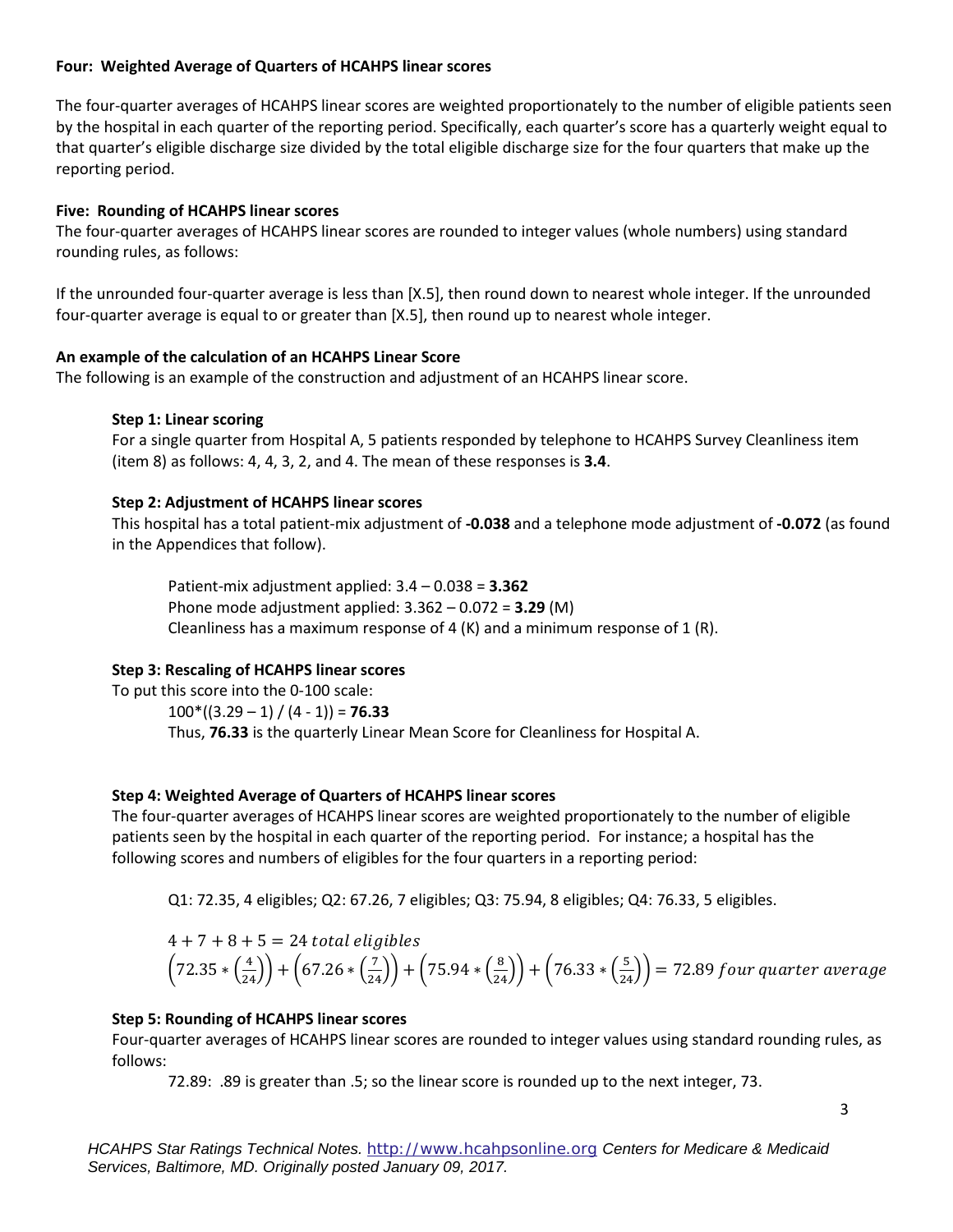#### **Four: Weighted Average of Quarters of HCAHPS linear scores**

 The four-quarter averages of HCAHPS linear scores are weighted proportionately to the number of eligible patients seen that quarter's eligible discharge size divided by the total eligible discharge size for the four quarters that make up the by the hospital in each quarter of the reporting period. Specifically, each quarter's score has a quarterly weight equal to reporting period.

#### **Five: Rounding of HCAHPS linear scores**

The four-quarter averages of HCAHPS linear scores are rounded to integer values (whole numbers) using standard<br>rounding rules, as follows: rounding rules, as follows:

 If the unrounded four-quarter average is less than [X.5], then round down to nearest whole integer. If the unrounded four-quarter average is equal to or greater than [X.5], then round up to nearest whole integer.

#### **An example of the calculation of an HCAHPS Linear Score**

The following is an example of the construction and adjustment of an HCAHPS linear score.

#### **Step 1: Linear scoring**

 (item 8) as follows: 4, 4, 3, 2, and 4. The mean of these responses is **3.4**. For a single quarter from Hospital A, 5 patients responded by telephone to HCAHPS Survey Cleanliness item

### **Step 2: Adjustment of HCAHPS linear scores**

 in the Appendices that follow). This hospital has a total patient-mix adjustment of **-0.038** and a telephone mode adjustment of **-0.072** (as found

Phone mode adjustment applied: 3.362 – 0.072 = **3.29** (M)<br>Cleanliness has a maximum response of 4 (K) and a minimum response of 1 (R). Patient-mix adjustment applied: 3.4 – 0.038 = **3.362**Phone mode adjustment applied:  $3.362 - 0.072 = 3.29$  (M)

### **Step 3: Rescaling of HCAHPS linear scores**

To put this score into the 0-100 scale:

 100\*((3.29 – 1) / (4 - 1)) = **76.33**Thus, **76.33** is the quarterly Linear Mean Score for Cleanliness for Hospital A.

### **Step 4: Weighted Average of Quarters of HCAHPS linear scores**

 The four-quarter averages of HCAHPS linear scores are weighted proportionately to the number of eligible patients seen by the hospital in each quarter of the reporting period. For instance; a hospital has the following scores and numbers of eligibles for the four quarters in a reporting period:

Q1: 72.35, 4 eligibles; Q2: 67.26, 7 eligibles; Q3: 75.94, 8 eligibles; Q4: 76.33, 5 eligibles.

$$
4 + 7 + 8 + 5 = 24
$$
 total eligibles  
 $(72.35 * (\frac{4}{24})) + (67.26 * (\frac{7}{24})) + (75.94 * (\frac{8}{24})) + (76.33 * (\frac{5}{24})) = 72.89$  four quarter average

#### **Step 5: Rounding of HCAHPS linear scores**

Four-quarter averages of HCAHPS linear scores are rounded to integer values using standard rounding rules, as follows:

72.89: .89 is greater than .5; so the linear score is rounded up to the next integer, 73.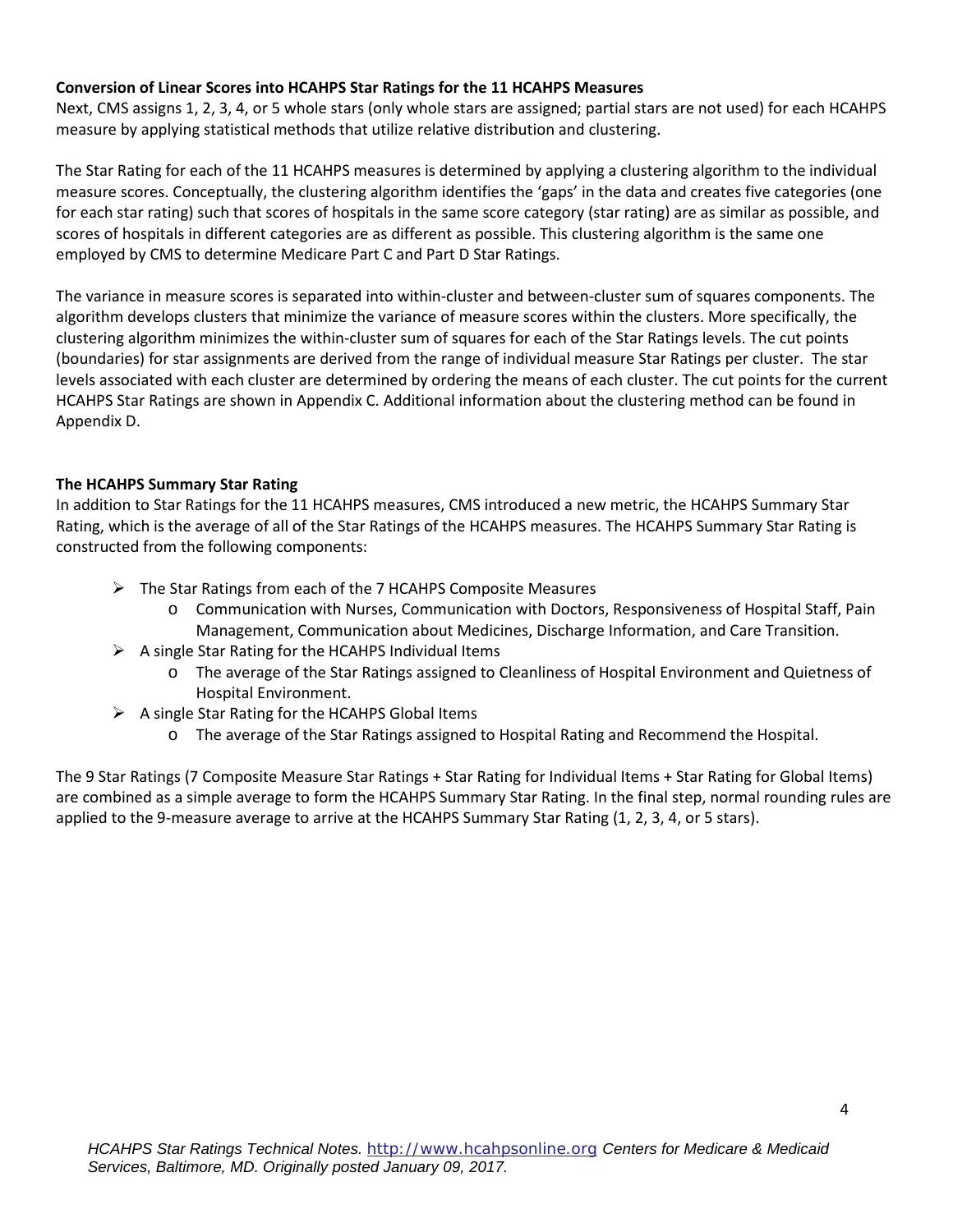#### **Conversion of Linear Scores into HCAHPS Star Ratings for the 11 HCAHPS Measures**

Next, CMS assigns 1, 2, 3, 4, or 5 whole stars (only whole stars are assigned; partial stars are not used) for each HCAHPS measure by applying statistical methods that utilize relative distribution and clustering.

 for each star rating) such that scores of hospitals in the same score category (star rating) are as similar as possible, and scores of hospitals in different categories are as different as possible. This clustering algorithm is the same one employed by CMS to determine Medicare Part C and Part D Star Ratings. The Star Rating for each of the 11 HCAHPS measures is determined by applying a clustering algorithm to the individual measure scores. Conceptually, the clustering algorithm identifies the 'gaps' in the data and creates five categories (one

 algorithm develops clusters that minimize the variance of measure scores within the clusters. More specifically, the HCAHPS Star Ratings are shown in Appendix C. Additional information about the clustering method can be found in Appendix D. The variance in measure scores is separated into within-cluster and between-cluster sum of squares components. The clustering algorithm minimizes the within-cluster sum of squares for each of the Star Ratings levels. The cut points (boundaries) for star assignments are derived from the range of individual measure Star Ratings per cluster. The star levels associated with each cluster are determined by ordering the means of each cluster. The cut points for the current

### **The HCAHPS Summary Star Rating**

In addition to Star Ratings for the 11 HCAHPS measures, CMS introduced a new metric, the HCAHPS Summary Star Rating, which is the average of all of the Star Ratings of the HCAHPS measures. The HCAHPS Summary Star Rating is constructed from the following components:

- > The Star Ratings from each of the 7 HCAHPS Composite Measures
	- o Communication with Nurses, Communication with Doctors, Responsiveness of Hospital Staff, Pain Management, Communication about Medicines, Discharge Information, and Care Transition.
- $\triangleright$  A single Star Rating for the HCAHPS Individual Items
	- o The average of the Star Ratings assigned to Cleanliness of Hospital Environment and Quietness of Hospital Environment.
- $\triangleright$  A single Star Rating for the HCAHPS Global Items
	- o The average of the Star Ratings assigned to Hospital Rating and Recommend the Hospital.

 applied to the 9-measure average to arrive at the HCAHPS Summary Star Rating (1, 2, 3, 4, or 5 stars). The 9 Star Ratings (7 Composite Measure Star Ratings + Star Rating for Individual Items + Star Rating for Global Items) are combined as a simple average to form the HCAHPS Summary Star Rating. In the final step, normal rounding rules are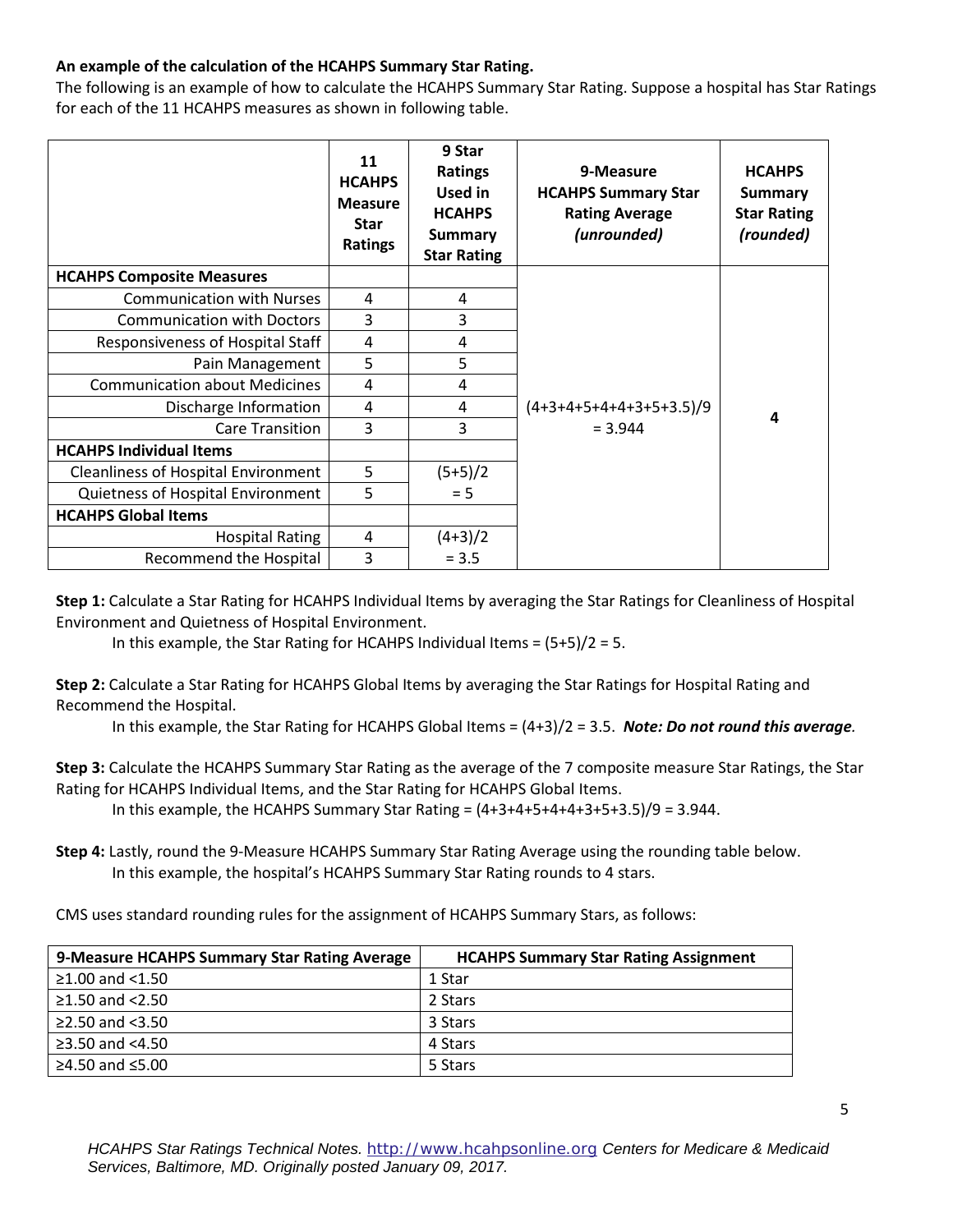### **An example of the calculation of the HCAHPS Summary Star Rating.**

 The following is an example of how to calculate the HCAHPS Summary Star Rating. Suppose a hospital has Star Ratings for each of the 11 HCAHPS measures as shown in following table.

|                                            | 11<br><b>HCAHPS</b><br><b>Measure</b><br><b>Star</b><br>Ratings | 9 Star<br><b>Ratings</b><br>Used in<br><b>HCAHPS</b><br><b>Summary</b><br><b>Star Rating</b> | 9-Measure<br><b>HCAHPS Summary Star</b><br><b>Rating Average</b><br>(unrounded) | <b>HCAHPS</b><br>Summary<br><b>Star Rating</b><br>(rounded) |
|--------------------------------------------|-----------------------------------------------------------------|----------------------------------------------------------------------------------------------|---------------------------------------------------------------------------------|-------------------------------------------------------------|
| <b>HCAHPS Composite Measures</b>           |                                                                 |                                                                                              |                                                                                 |                                                             |
| <b>Communication with Nurses</b>           | 4                                                               | 4                                                                                            |                                                                                 |                                                             |
| <b>Communication with Doctors</b>          | 3                                                               | 3                                                                                            |                                                                                 |                                                             |
| Responsiveness of Hospital Staff           | 4                                                               | 4                                                                                            |                                                                                 |                                                             |
| Pain Management                            | 5                                                               | 5                                                                                            |                                                                                 |                                                             |
| <b>Communication about Medicines</b>       | 4                                                               | 4                                                                                            |                                                                                 |                                                             |
| Discharge Information                      | 4                                                               | 4                                                                                            | $(4+3+4+5+4+4+3+5+3.5)/9$                                                       | 4                                                           |
| <b>Care Transition</b>                     | 3                                                               | 3                                                                                            | $= 3.944$                                                                       |                                                             |
| <b>HCAHPS Individual Items</b>             |                                                                 |                                                                                              |                                                                                 |                                                             |
| <b>Cleanliness of Hospital Environment</b> | 5                                                               | $(5+5)/2$                                                                                    |                                                                                 |                                                             |
| Quietness of Hospital Environment          | 5                                                               | $= 5$                                                                                        |                                                                                 |                                                             |
| <b>HCAHPS Global Items</b>                 |                                                                 |                                                                                              |                                                                                 |                                                             |
| <b>Hospital Rating</b>                     | 4                                                               | $(4+3)/2$                                                                                    |                                                                                 |                                                             |
| Recommend the Hospital                     | 3                                                               | $= 3.5$                                                                                      |                                                                                 |                                                             |

**Step 1:** Calculate a Star Rating for HCAHPS Individual Items by averaging the Star Ratings for Cleanliness of Hospital Environment and Quietness of Hospital Environment.

In this example, the Star Rating for HCAHPS Individual Items =  $(5+5)/2 = 5$ .

**Step 2:** Calculate a Star Rating for HCAHPS Global Items by averaging the Star Ratings for Hospital Rating and Recommend the Hospital.

In this example, the Star Rating for HCAHPS Global Items = (4+3)/2 = 3.5. *Note: Do not round this average.* 

 **Step 3:** Calculate the HCAHPS Summary Star Rating as the average of the 7 composite measure Star Ratings, the Star Rating for HCAHPS Individual Items, and the Star Rating for HCAHPS Global Items.

In this example, the HCAHPS Summary Star Rating =  $(4+3+4+5+4+4+3+5+3.5)/9 = 3.944$ .

 In this example, the hospital's HCAHPS Summary Star Rating rounds to 4 stars. **Step 4:** Lastly, round the 9-Measure HCAHPS Summary Star Rating Average using the rounding table below.

CMS uses standard rounding rules for the assignment of HCAHPS Summary Stars, as follows:

| 9-Measure HCAHPS Summary Star Rating Average | <b>HCAHPS Summary Star Rating Assignment</b> |
|----------------------------------------------|----------------------------------------------|
| ≥1.00 and $<$ 1.50                           | 1 Star                                       |
| ≥1.50 and $<$ 2.50                           | 2 Stars                                      |
| ≥2.50 and $<3.50$                            | 3 Stars                                      |
| ≥3.50 and $<4.50$                            | 4 Stars                                      |
| ≥4.50 and $≤5.00$                            | 5 Stars                                      |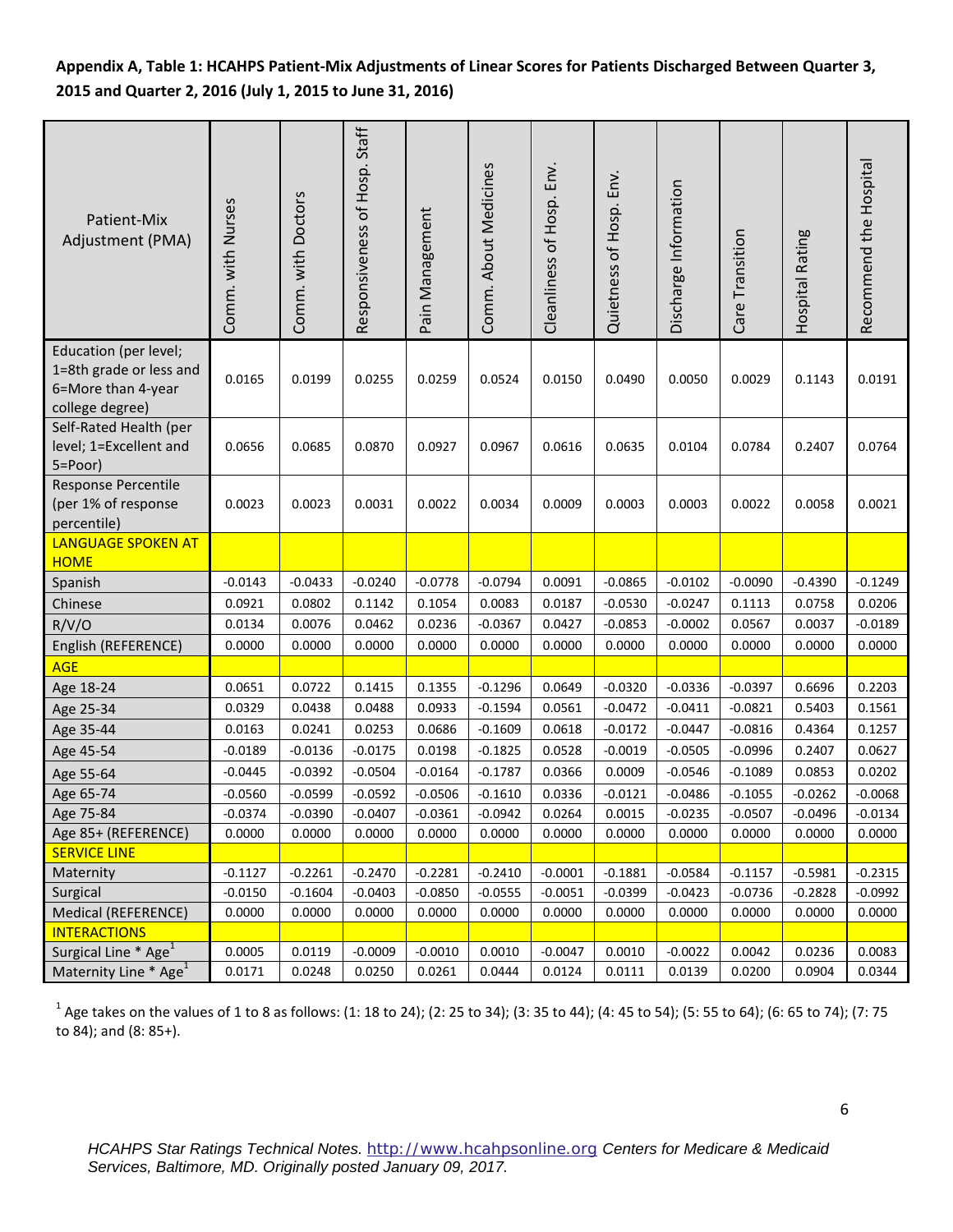# **Appendix A, Table 1: HCAHPS Patient-Mix Adjustments of Linear Scores for Patients Discharged Between Quarter 3, 2015 and Quarter 2, 2016 (July 1, 2015 to June 31, 2016)**

| Patient-Mix<br>Adjustment (PMA)                                                           | Comm. with Nurses | Comm. with Doctors | Responsiveness of Hosp. Staff | Pain Management | Comm. About Medicines | Cleanliness of Hosp. Env. | Quietness of Hosp. Env. | Discharge Information | Care Transition | Hospital Rating | Recommend the Hospital |
|-------------------------------------------------------------------------------------------|-------------------|--------------------|-------------------------------|-----------------|-----------------------|---------------------------|-------------------------|-----------------------|-----------------|-----------------|------------------------|
| Education (per level;<br>1=8th grade or less and<br>6=More than 4-year<br>college degree) | 0.0165            | 0.0199             | 0.0255                        | 0.0259          | 0.0524                | 0.0150                    | 0.0490                  | 0.0050                | 0.0029          | 0.1143          | 0.0191                 |
| Self-Rated Health (per<br>level; 1=Excellent and<br>5=Poor)                               | 0.0656            | 0.0685             | 0.0870                        | 0.0927          | 0.0967                | 0.0616                    | 0.0635                  | 0.0104                | 0.0784          | 0.2407          | 0.0764                 |
| <b>Response Percentile</b><br>(per 1% of response<br>percentile)                          | 0.0023            | 0.0023             | 0.0031                        | 0.0022          | 0.0034                | 0.0009                    | 0.0003                  | 0.0003                | 0.0022          | 0.0058          | 0.0021                 |
| <b>LANGUAGE SPOKEN AT</b><br><b>HOME</b>                                                  |                   |                    |                               |                 |                       |                           |                         |                       |                 |                 |                        |
| Spanish                                                                                   | $-0.0143$         | $-0.0433$          | $-0.0240$                     | $-0.0778$       | $-0.0794$             | 0.0091                    | $-0.0865$               | $-0.0102$             | $-0.0090$       | $-0.4390$       | $-0.1249$              |
| Chinese                                                                                   | 0.0921            | 0.0802             | 0.1142                        | 0.1054          | 0.0083                | 0.0187                    | $-0.0530$               | $-0.0247$             | 0.1113          | 0.0758          | 0.0206                 |
| R/V/O                                                                                     | 0.0134            | 0.0076             | 0.0462                        | 0.0236          | $-0.0367$             | 0.0427                    | $-0.0853$               | $-0.0002$             | 0.0567          | 0.0037          | $-0.0189$              |
| English (REFERENCE)                                                                       | 0.0000            | 0.0000             | 0.0000                        | 0.0000          | 0.0000                | 0.0000                    | 0.0000                  | 0.0000                | 0.0000          | 0.0000          | 0.0000                 |
| <b>AGE</b>                                                                                |                   |                    |                               |                 |                       |                           |                         |                       |                 |                 |                        |
| Age 18-24                                                                                 | 0.0651            | 0.0722             | 0.1415                        | 0.1355          | $-0.1296$             | 0.0649                    | $-0.0320$               | $-0.0336$             | $-0.0397$       | 0.6696          | 0.2203                 |
| Age 25-34                                                                                 | 0.0329            | 0.0438             | 0.0488                        | 0.0933          | $-0.1594$             | 0.0561                    | $-0.0472$               | $-0.0411$             | $-0.0821$       | 0.5403          | 0.1561                 |
| Age 35-44                                                                                 | 0.0163            | 0.0241             | 0.0253                        | 0.0686          | $-0.1609$             | 0.0618                    | $-0.0172$               | $-0.0447$             | $-0.0816$       | 0.4364          | 0.1257                 |
| Age 45-54                                                                                 | $-0.0189$         | $-0.0136$          | $-0.0175$                     | 0.0198          | $-0.1825$             | 0.0528                    | $-0.0019$               | $-0.0505$             | $-0.0996$       | 0.2407          | 0.0627                 |
| Age 55-64                                                                                 | $-0.0445$         | $-0.0392$          | $-0.0504$                     | $-0.0164$       | $-0.1787$             | 0.0366                    | 0.0009                  | $-0.0546$             | $-0.1089$       | 0.0853          | 0.0202                 |
| Age 65-74                                                                                 | $-0.0560$         | $-0.0599$          | $-0.0592$                     | $-0.0506$       | $-0.1610$             | 0.0336                    | $-0.0121$               | $-0.0486$             | $-0.1055$       | $-0.0262$       | $-0.0068$              |
| Age 75-84                                                                                 | $-0.0374$         | $-0.0390$          | $-0.0407$                     | $-0.0361$       | $-0.0942$             | 0.0264                    | 0.0015                  | $-0.0235$             | $-0.0507$       | $-0.0496$       | $-0.0134$              |
| Age 85+ (REFERENCE)                                                                       | 0.0000            | 0.0000             | 0.0000                        | 0.0000          | 0.0000                | 0.0000                    | 0.0000                  | 0.0000                | 0.0000          | 0.0000          | 0.0000                 |
| <b>SERVICE LINE</b>                                                                       |                   |                    |                               |                 |                       |                           |                         |                       |                 |                 |                        |
| Maternity                                                                                 | $-0.1127$         | $-0.2261$          | $-0.2470$                     | $-0.2281$       | $-0.2410$             | $-0.0001$                 | $-0.1881$               | $-0.0584$             | $-0.1157$       | $-0.5981$       | $-0.2315$              |
| Surgical                                                                                  | $-0.0150$         | $-0.1604$          | $-0.0403$                     | $-0.0850$       | $-0.0555$             | $-0.0051$                 | $-0.0399$               | $-0.0423$             | $-0.0736$       | $-0.2828$       | $-0.0992$              |
| Medical (REFERENCE)                                                                       | 0.0000            | 0.0000             | 0.0000                        | 0.0000          | 0.0000                | 0.0000                    | 0.0000                  | 0.0000                | 0.0000          | 0.0000          | 0.0000                 |
| <b>INTERACTIONS</b>                                                                       |                   |                    |                               |                 |                       |                           |                         |                       |                 |                 |                        |
| Surgical Line * Age <sup>1</sup>                                                          | 0.0005            | 0.0119             | $-0.0009$                     | $-0.0010$       | 0.0010                | $-0.0047$                 | 0.0010                  | $-0.0022$             | 0.0042          | 0.0236          | 0.0083                 |
| Maternity Line * Age <sup>1</sup>                                                         | 0.0171            | 0.0248             | 0.0250                        | 0.0261          | 0.0444                | 0.0124                    | 0.0111                  | 0.0139                | 0.0200          | 0.0904          | 0.0344                 |

 $1$  Age takes on the values of 1 to 8 as follows: (1: 18 to 24); (2: 25 to 34); (3: 35 to 44); (4: 45 to 54); (5: 55 to 64); (6: 65 to 74); (7: 75 to 84); and (8: 85+).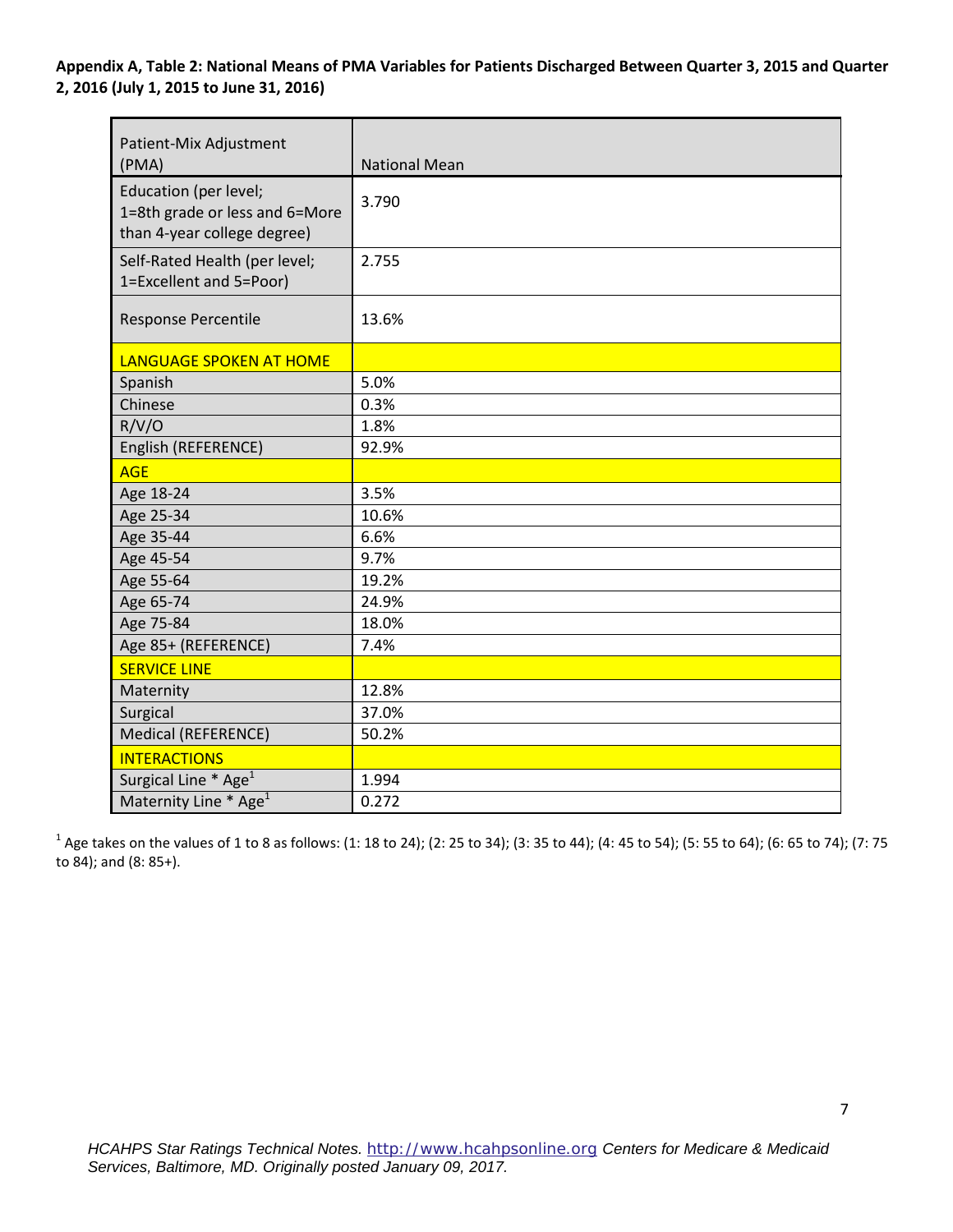**Appendix A, Table 2: National Means of PMA Variables for Patients Discharged Between Quarter 3, 2015 and Quarter 2, 2016 (July 1, 2015 to June 31, 2016)** 

| Patient-Mix Adjustment<br>(PMA)                                                        | <b>National Mean</b> |
|----------------------------------------------------------------------------------------|----------------------|
| Education (per level;<br>1=8th grade or less and 6=More<br>than 4-year college degree) | 3.790                |
| Self-Rated Health (per level;<br>1=Excellent and 5=Poor)                               | 2.755                |
| <b>Response Percentile</b>                                                             | 13.6%                |
| <b>LANGUAGE SPOKEN AT HOME</b>                                                         |                      |
| Spanish                                                                                | 5.0%                 |
| Chinese                                                                                | 0.3%                 |
| R/V/O                                                                                  | 1.8%                 |
| English (REFERENCE)                                                                    | 92.9%                |
| <b>AGE</b>                                                                             |                      |
| Age 18-24                                                                              | 3.5%                 |
| Age 25-34                                                                              | 10.6%                |
| Age 35-44                                                                              | 6.6%                 |
| Age 45-54                                                                              | 9.7%                 |
| Age 55-64                                                                              | 19.2%                |
| Age 65-74                                                                              | 24.9%                |
| Age 75-84                                                                              | 18.0%                |
| Age 85+ (REFERENCE)                                                                    | 7.4%                 |
| <b>SERVICE LINE</b>                                                                    |                      |
| Maternity                                                                              | 12.8%                |
| Surgical                                                                               | 37.0%                |
| Medical (REFERENCE)                                                                    | 50.2%                |
| <b>INTERACTIONS</b>                                                                    |                      |
| Surgical Line * Age <sup>1</sup>                                                       | 1.994                |
| Maternity Line * Age <sup>1</sup>                                                      | 0.272                |

 $^1$  Age takes on the values of 1 to 8 as follows: (1: 18 to 24); (2: 25 to 34); (3: 35 to 44); (4: 45 to 54); (5: 55 to 64); (6: 65 to 74); (7: 75 to 84); and (8: 85+).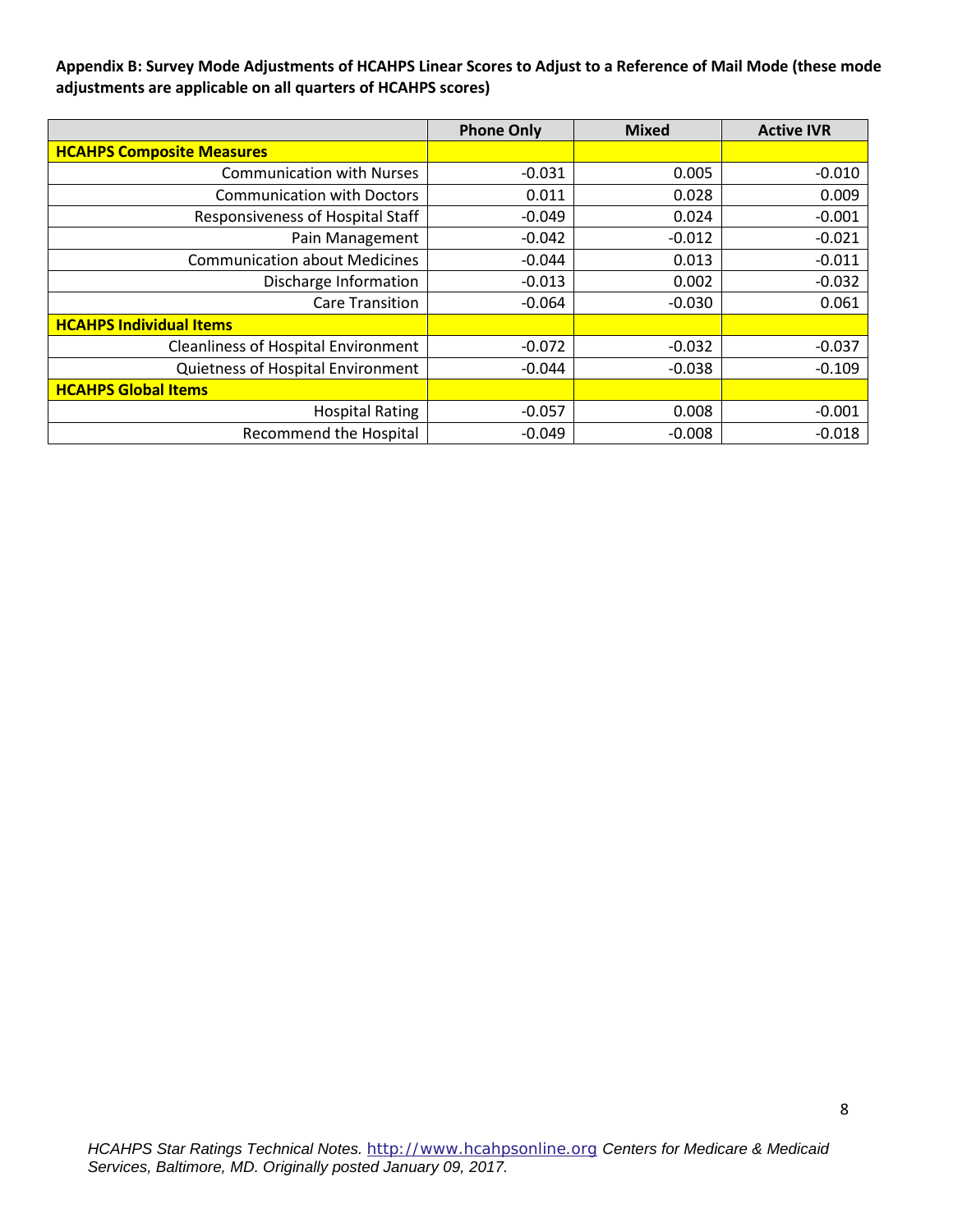**Appendix B: Survey Mode Adjustments of HCAHPS Linear Scores to Adjust to a Reference of Mail Mode (these mode adjustments are applicable on all quarters of HCAHPS scores)** 

|                                            | <b>Phone Only</b> | <b>Mixed</b> | <b>Active IVR</b> |
|--------------------------------------------|-------------------|--------------|-------------------|
| <b>HCAHPS Composite Measures</b>           |                   |              |                   |
| <b>Communication with Nurses</b>           | $-0.031$          | 0.005        | $-0.010$          |
| <b>Communication with Doctors</b>          | 0.011             | 0.028        | 0.009             |
| Responsiveness of Hospital Staff           | $-0.049$          | 0.024        | $-0.001$          |
| Pain Management                            | $-0.042$          | $-0.012$     | $-0.021$          |
| <b>Communication about Medicines</b>       | $-0.044$          | 0.013        | $-0.011$          |
| Discharge Information                      | $-0.013$          | 0.002        | $-0.032$          |
| <b>Care Transition</b>                     | $-0.064$          | $-0.030$     | 0.061             |
| <b>HCAHPS Individual Items</b>             |                   |              |                   |
| <b>Cleanliness of Hospital Environment</b> | $-0.072$          | $-0.032$     | $-0.037$          |
| Quietness of Hospital Environment          | $-0.044$          | $-0.038$     | $-0.109$          |
| <b>HCAHPS Global Items</b>                 |                   |              |                   |
| <b>Hospital Rating</b>                     | $-0.057$          | 0.008        | $-0.001$          |
| <b>Recommend the Hospital</b>              | $-0.049$          | $-0.008$     | $-0.018$          |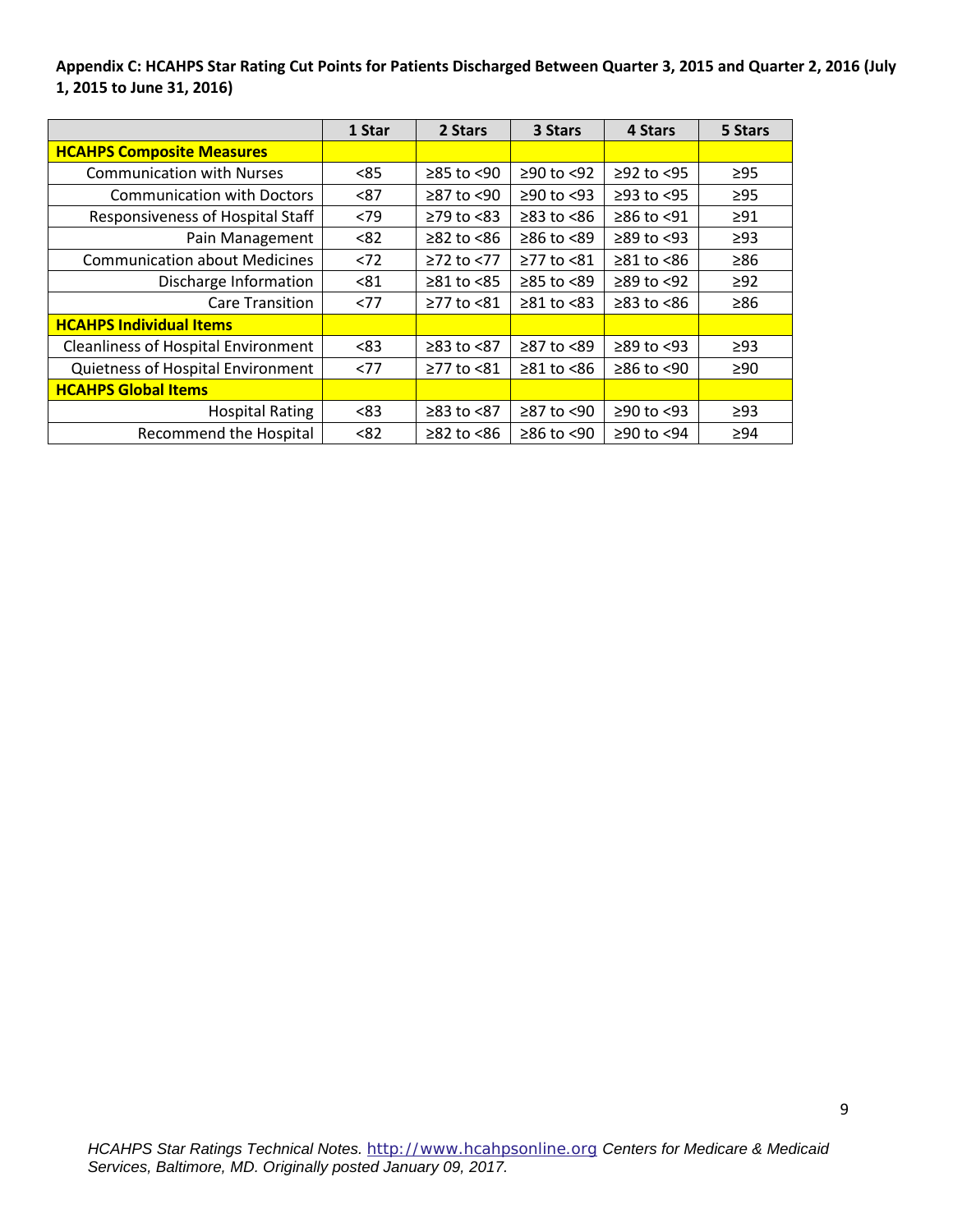**Appendix C: HCAHPS Star Rating Cut Points for Patients Discharged Between Quarter 3, 2015 and Quarter 2, 2016 (July 1, 2015 to June 31, 2016)** 

|                                            | 1 Star | 2 Stars          | 3 Stars          | 4 Stars          | 5 Stars   |
|--------------------------------------------|--------|------------------|------------------|------------------|-----------|
| <b>HCAHPS Composite Measures</b>           |        |                  |                  |                  |           |
| <b>Communication with Nurses</b>           | < 85   | $≥85$ to $≤90$   | $≥90$ to <92     | $≥92$ to <95     | $\geq$ 95 |
| <b>Communication with Doctors</b>          | < 87   | $\geq$ 87 to <90 | $≥90$ to <93     | $\geq$ 93 to <95 | $\geq$ 95 |
| Responsiveness of Hospital Staff           | <79    | $\geq$ 79 to <83 | $\geq$ 83 to <86 | $≥86$ to <91     | $\geq$ 91 |
| Pain Management                            | < 82   | $≥82$ to $≤86$   | $≥86$ to $<89$   | $\geq$ 89 to <93 | $\geq$ 93 |
| <b>Communication about Medicines</b>       | < 72   | $≥72$ to <77     | ≥77 to <81       | $\geq 81$ to <86 | $\geq 86$ |
| Discharge Information                      | < 81   | $\geq 81$ to <85 | $≥85$ to <89     | $≥89$ to <92     | $\geq$ 92 |
| <b>Care Transition</b>                     | < 77   | $\geq$ 77 to <81 | $\geq 81$ to <83 | $\geq$ 83 to <86 | $\geq 86$ |
| <b>HCAHPS Individual Items</b>             |        |                  |                  |                  |           |
| <b>Cleanliness of Hospital Environment</b> | < 83   | $≥83$ to $<87$   | ≥87 to <89       | $\geq$ 89 to <93 | $\geq$ 93 |
| Quietness of Hospital Environment          | <77    | ≥77 to <81       | $\geq 81$ to <86 | $≥86$ to <90     | $\geq 90$ |
| <b>HCAHPS Global Items</b>                 |        |                  |                  |                  |           |
| <b>Hospital Rating</b>                     | < 83   | $≥83$ to $≤87$   | ≥87 to <90       | $≥90$ to <93     | $\geq$ 93 |
| <b>Recommend the Hospital</b>              | < 82   | $\geq$ 82 to <86 | $≥86$ to <90     | ≥90 to <94       | $\geq 94$ |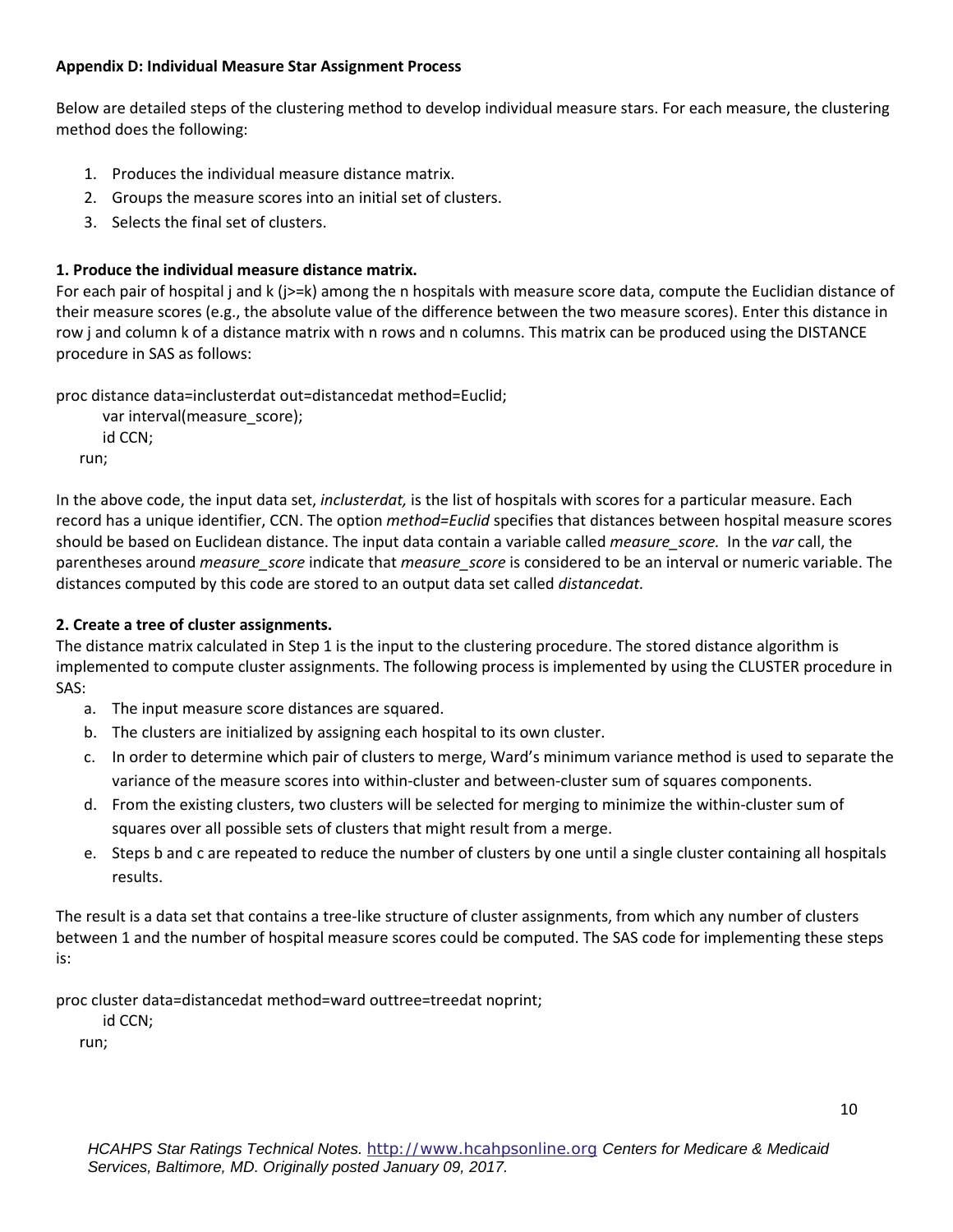#### **Appendix D: Individual Measure Star Assignment Process**

 Below are detailed steps of the clustering method to develop individual measure stars. For each measure, the clustering method does the following:

- 1. Produces the individual measure distance matrix.
- 2. Groups the measure scores into an initial set of clusters.
- 3. Selects the final set of clusters.

# **1. Produce the individual measure distance matrix.**

 For each pair of hospital j and k (j>=k) among the n hospitals with measure score data, compute the Euclidian distance of their measure scores (e.g., the absolute value of the difference between the two measure scores). Enter this distance in row j and column k of a distance matrix with n rows and n columns. This matrix can be produced using the DISTANCE procedure in SAS as follows:

proc distance data=inclusterdat out=distancedat method=Euclid; var interval(measure\_score);

id CCN; run;

 In the above code, the input data set, *inclusterdat,* is the list of hospitals with scores for a particular measure. Each record has a unique identifier, CCN. The option *method=Euclid* specifies that distances between hospital measure scores should be based on Euclidean distance. The input data contain a variable called *measure\_score.* In the *var* call, the parentheses around *measure\_score* indicate that *measure\_score* is considered to be an interval or numeric variable. The distances computed by this code are stored to an output data set called *distancedat.* 

# **2. Create a tree of cluster assignments.**

The distance matrix calculated in Step 1 is the input to the clustering procedure. The stored distance algorithm is implemented to compute cluster assignments. The following process is implemented by using the CLUSTER procedure in SAS:

- a. The input measure score distances are squared.
- The clusters are initialized by assigning each hospital to its own cluster.
- b. The clusters are initialized by assigning each hospital to its own cluster.<br>c. In order to determine which pair of clusters to merge, Ward's minimum variance method is used to separate the variance of the measure scores into within-cluster and between-cluster sum of squares components.
- d. From the existing clusters, two clusters will be selected for merging to minimize the within-cluster sum of squares over all possible sets of clusters that might result from a merge.
- e. Steps b and c are repeated to reduce the number of clusters by one until a single cluster containing all hospitals results.

The result is a data set that contains a tree-like structure of cluster assignments, from which any number of clusters between 1 and the number of hospital measure scores could be computed. The SAS code for implementing these steps is:

proc cluster data=distancedat method=ward outtree=treedat noprint;

id CCN;

run;